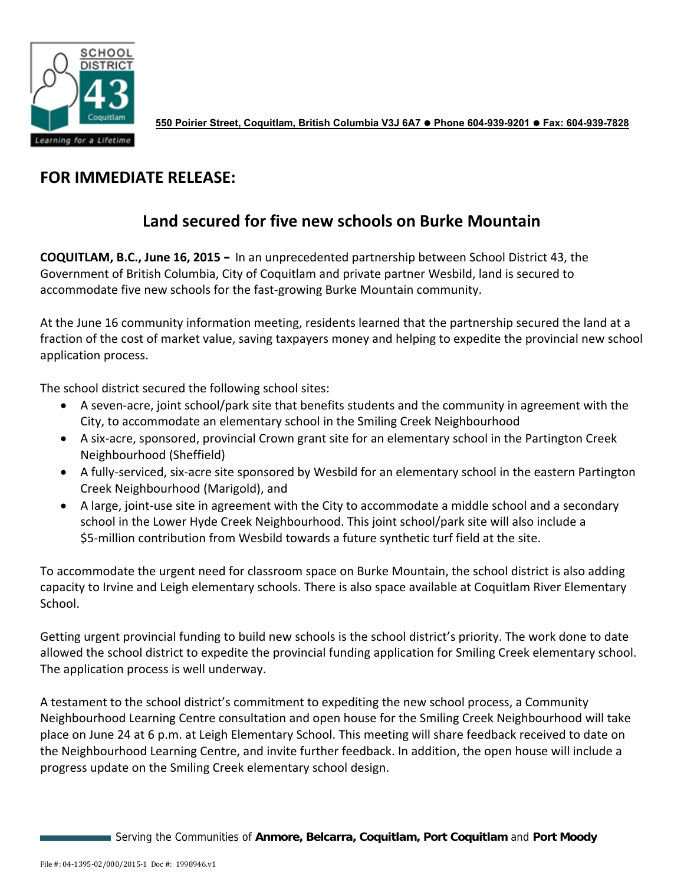

**550 Poirier Street, Coquitlam, British Columbia V3J 6A7 Phone 604-939-9201 Fax: 604-939-7828** 

## **FOR IMMEDIATE RELEASE:**

## **Land secured for five new schools on Burke Mountain**

**COQUITLAM, B.C., June 16, 2015 –** In an unprecedented partnership between School District 43, the Government of British Columbia, City of Coquitlam and private partner Wesbild, land is secured to accommodate five new schools for the fast‐growing Burke Mountain community.

At the June 16 community information meeting, residents learned that the partnership secured the land at a fraction of the cost of market value, saving taxpayers money and helping to expedite the provincial new school application process.

The school district secured the following school sites:

- A seven‐acre, joint school/park site that benefits students and the community in agreement with the City, to accommodate an elementary school in the Smiling Creek Neighbourhood
- A six‐acre, sponsored, provincial Crown grant site for an elementary school in the Partington Creek Neighbourhood (Sheffield)
- A fully‐serviced, six‐acre site sponsored by Wesbild for an elementary school in the eastern Partington Creek Neighbourhood (Marigold), and
- A large, joint‐use site in agreement with the City to accommodate a middle school and a secondary school in the Lower Hyde Creek Neighbourhood. This joint school/park site will also include a \$5‐million contribution from Wesbild towards a future synthetic turf field at the site.

To accommodate the urgent need for classroom space on Burke Mountain, the school district is also adding capacity to Irvine and Leigh elementary schools. There is also space available at Coquitlam River Elementary School.

Getting urgent provincial funding to build new schools is the school district's priority. The work done to date allowed the school district to expedite the provincial funding application for Smiling Creek elementary school. The application process is well underway.

A testament to the school district's commitment to expediting the new school process, a Community Neighbourhood Learning Centre consultation and open house for the Smiling Creek Neighbourhood will take place on June 24 at 6 p.m. at Leigh Elementary School. This meeting will share feedback received to date on the Neighbourhood Learning Centre, and invite further feedback. In addition, the open house will include a progress update on the Smiling Creek elementary school design.